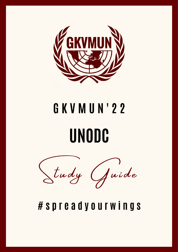

# GKVMUN'22 UNODC



# # spreadyourwings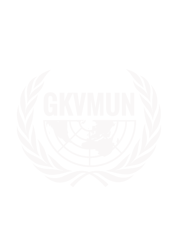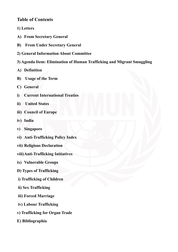#### **Table of Contents**

- **1) Letters**
- **A) From Secretary General**
- **B) From Under Secretary General**
- **2) General Information About Committee**
- **3) Agenda Item: Elimination of Human Trafficking and Migrant Smuggling**
- **A) Definition**
- **B) Usage of the Term**
- **C) General**
- **i) Current International Treaties**
- **ii) United States**
- **iii) Council of Europe**
- **iv) India**
- **v) Singapore**
- **vi) Anti-Trafficking Policy Index**
- **vii) Religious Declaration**
- **viii)Anti-Trafficking Initiatives**
- **ix) Vulnerable Groups**
- **D) Types of Trafficking**
- **i) Trafficking of Children**
- **ii) Sex Trafficking**
- **iii) Forced Marriage**
- **iv) Labour Trafficking**
- **v) Trafficking for Organ Trade**
- **E) Bibliographia**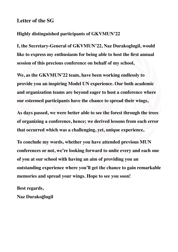#### **Letter of the SG**

#### **Highly distinguished participants of GKVMUN'22**

**I, the Secretary-General of GKVMUN'22, Naz Durakoglugil, would like to express my enthusiasm for being able to host the first annual session of this precious conference on behalf of my school,** 

**We, as the GKVMUN'22 team, have been working endlessly to provide you an inspiring Model UN experience. Our both academic and organization teams are beyond eager to host a conference where our esteemed participants have the chance to spread their wings,** 

**As days passed, we were better able to see the forest through the trees of organizing a conference, hence; we derived lessons from each error that occurred which was a challenging, yet, unique experience,** 

**To conclude my words, whether you have attended previous MUN conferences or not, we're looking forward to unite every and each one of you at our school with having an aim of providing you an outstanding experience where you'll get the chance to gain remarkable memories and spread your wings. Hope to see you soon!** 

**Best regards, Naz Durakoğlugil**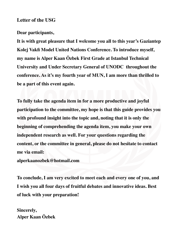#### **Letter of the USG**

#### **Dear participants,**

**It is with great pleasure that I welcome you all to this year's Gaziantep Kolej Vakfi Model United Nations Conference. To introduce myself, my name is Alper Kaan Özbek First Grade at Istanbul Technical University and Under Secretary General of UNODC throughout the conference. As it's my fourth year of MUN, I am more than thrilled to be a part of this event again.** 

**To fully take the agenda item in for a more productive and joyful participation to the committee, my hope is that this guide provides you with profound insight into the topic and, noting that it is only the beginning of comprehending the agenda item, you make your own independent research as well. For your questions regarding the content, or the committee in general, please do not hesitate to contact me via email:**

**alperkaanozbek@hotmail.com** 

**To conclude, I am very excited to meet each and every one of you, and I wish you all four days of fruitful debates and innovative ideas. Best of luck with your preparation!** 

**Sincerely, Alper Kaan Özbek**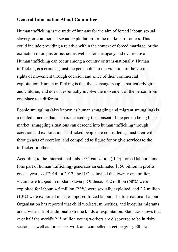#### **General Information About Committee**

Human trafficking is the trade of humans for the aim of forced labour, sexual slavery, or commercial sexual exploitation for the marketer or others. This could include providing a relative within the context of forced marriage, or the extraction of organs or tissues, as well as for surrogacy and ova removal. Human trafficking can occur among a country or trans-nationally. Human trafficking is a crime against the person due to the violation of the victim's rights of movement through coercion and since of their commercial exploitation. Human trafficking is that the exchange people, particularly girls and children, and doesn't essentially involve the movement of the person from one place to a different.

People smuggling (also known as human smuggling and migrant smuggling) is a related practice that is characterised by the consent of the person being blackmarket. smuggling situations can descend into human trafficking through coercion and exploitation. Trafficked people are controlled against their will through acts of coercion, and compelled to figure for or give services to the trafficker or others.

According to the International Labour Organization (ILO), forced labour alone (one part of human trafficking) generates an estimated \$150 billion in profits once a year as of 2014. In 2012, the ILO estimated that twenty one million victims are trapped in modern slavery. Of these, 14.2 million (68%) were exploited for labour, 4.5 million (22%) were sexually exploited, and 2.2 million (10%) were exploited in state-imposed forced labour. The International Labour Organisation has reported that child workers, minorities, and irregular migrants are at wide risk of additional extreme kinds of exploitation. Statistics shows that over half the world's 215 million young workers are discovered to be in risky sectors, as well as forced sex work and compelled street begging. Ethnic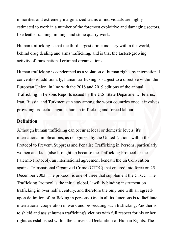minorities and extremely marginalized teams of individuals are highly estimated to work in a number of the foremost exploitive and damaging sectors, like leather tanning, mining, and stone quarry work.

Human trafficking is that the third largest crime industry within the world, behind drug dealing and arms trafficking, and is that the fastest-growing activity of trans-national criminal organizations.

Human trafficking is condemned as a violation of human rights by international conventions. additionally, human trafficking is subject to a directive within the European Union. in line with the 2018 and 2019 editions of the annual Trafficking in Persons Reports issued by the U.S. State Department: Belarus, Iran, Russia, and Turkmenistan stay among the worst countries once it involves providing protection against human trafficking and forced labour.

#### **Definition**

Although human trafficking can occur at local or domestic levels, it's international implications, as recognized by the United Nations within the Protocol to Prevent, Suppress and Penalise Trafficking in Persons, particularly women and kids (also brought up because the Trafficking Protocol or the Palermo Protocol), an international agreement beneath the un Convention against Transnational Organized Crime (CTOC) that entered into force on 25 December 2003. The protocol is one of three that supplement the CTOC. The Trafficking Protocol is the initial global, lawfully binding instrument on trafficking in over half a century, and therefore the only one with an agreedupon definition of trafficking in persons. One in all its functions is to facilitate international cooperation in work and prosecuting such trafficking. Another is to shield and assist human trafficking's victims with full respect for his or her rights as established within the Universal Declaration of Human Rights. The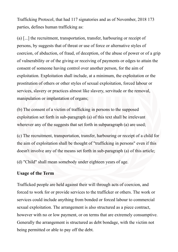Trafficking Protocol, that had 117 signatories and as of November, 2018 173 parties, defines human trafficking as:

(a) [...] the recruitment, transportation, transfer, harbouring or receipt of persons, by suggests that of threat or use of force or alternative styles of coercion, of abduction, of fraud, of deception, of the abuse of power or of a grip of vulnerability or of the giving or receiving of payments or edges to attain the consent of someone having control over another person, for the aim of exploitation. Exploitation shall include, at a minimum, the exploitation or the prostitution of others or other styles of sexual exploitation, forced labour or services, slavery or practices almost like slavery, servitude or the removal, manipulation or implantation of organs;

(b) The consent of a victim of trafficking in persons to the supposed exploitation set forth in sub-paragraph (a) of this text shall be irrelevant wherever any of the suggests that set forth in subparagraph (a) are used;

(c) The recruitment, transportation, transfer, harbouring or receipt of a child for the aim of exploitation shall be thought of "trafficking in persons" even if this doesn't involve any of the means set forth in sub-paragraph (a) of this article;

(d) "Child" shall mean somebody under eighteen years of age.

#### **Usage of the Term**

Trafficked people are held against their will through acts of coercion, and forced to work for or provide services to the trafficker or others. The work or services could include anything from bonded or forced labour to commercial sexual exploitation. The arrangement is also structured as a piece contract, however with no or low payment, or on terms that are extremely consumptive. Generally the arrangement is structured as debt bondage, with the victim not being permitted or able to pay off the debt.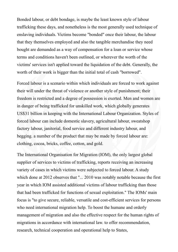Bonded labour, or debt bondage, is maybe the least known style of labour trafficking these days, and nonetheless is the most generally used technique of enslaving individuals. Victims become "bonded" once their labour, the labour that they themselves employed and also the tangible merchandise they need bought are demanded as a way of compensation for a loan or service whose terms and conditions haven't been outlined, or wherever the worth of the victims' services isn't applied toward the liquidation of the debt. Generally, the worth of their work is bigger than the initial total of cash "borrowed".

Forced labour is a scenario within which individuals are forced to work against their will under the threat of violence or another style of punishment; their freedom is restricted and a degree of possession is exerted. Men and women are in danger of being trafficked for unskilled work, which globally generates US\$31 billion in keeping with the International Labour Organization. Styles of forced labour can include domestic slavery, agricultural labour, sweatshop factory labour, janitorial, food service and different industry labour, and begging. a number of the product that may be made by forced labour are: clothing, cocoa, bricks, coffee, cotton, and gold.

The International Organisation for Migration (IOM), the only largest global supplier of services to victims of trafficking, reports receiving an increasing variety of cases in which victims were subjected to forced labour. A study which done at 2012 observes that "... 2010 was notably notable because the first year in which IOM assisted additional victims of labour trafficking than those that had been trafficked for functions of sexual exploitation." The IOMs' main focus is "to give secure, reliable, versatile and cost-efficient services for persons who need international migration help. To boost the humane and orderly management of migration and also the effective respect for the human rights of migrations in accordance with international law. to offer recommendation, research, technical cooperation and operational help to States,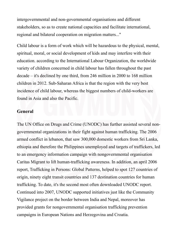intergovernmental and non-governmental organisations and different stakeholders, so as to create national capacities and facilitate international, regional and bilateral cooperation on migration matters..."

Child labour is a form of work which will be hazardous to the physical, mental, spiritual, moral, or social development of kids and may interfere with their education. according to the International Labour Organization, the worldwide variety of children concerned in child labour has fallen throughout the past decade – it's declined by one third, from 246 million in 2000 to 168 million children in 2012. Sub-Saharan Africa is that the region with the very best incidence of child labour, whereas the biggest numbers of child-workers are found in Asia and also the Pacific.

#### **General**

The UN Office on Drugs and Crime (UNODC) has further assisted several nongovernmental organizations in their fight against human trafficking. The 2006 armed conflict in lebanon, that saw 300,000 domestic workers from Sri Lanka, ethiopia and therefore the Philippines unemployed and targets of traffickers, led to an emergency information campaign with nongovernmental organisation Caritas Migrant to lift human-trafficking awareness. In addition, an april 2006 report, Trafficking in Persons: Global Patterns, helped to spot 127 countries of origin, ninety eight transit countries and 137 destination countries for human trafficking. To date, it's the second most often downloaded UNODC report. Continued into 2007, UNODC supported initiatives just like the Community Vigilance project on the border between India and Nepal, moreover has provided grants for nongovernmental organisation trafficking prevention campaigns in European Nations and Herzegovina and Croatia.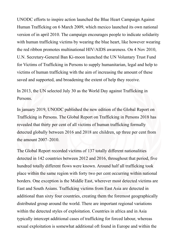UNODC efforts to inspire action launched the Blue Heart Campaign Against Human Trafficking on 6 March 2009, which mexico launched its own national version of in april 2010. The campaign encourages people to indicate solidarity with human trafficking victims by wearing the blue heart, like however wearing the red ribbon promotes multinational HIV/AIDS awareness. On 4 Nov 2010, U.N. Secretary-General Ban Ki-moon launched the UN Voluntary Trust Fund for Victims of Trafficking in Persons to supply humanitarian, legal and help to victims of human trafficking with the aim of increasing the amount of these saved and supported, and broadening the extent of help they receive.

In 2013, the UN selected July 30 as the World Day against Trafficking in Persons.

In january 2019, UNODC published the new edition of the Global Report on Trafficking in Persons. The Global Report on Trafficking in Persons 2018 has revealed that thirty per cent of all victims of human trafficking formally detected globally between 2016 and 2018 are children, up three per cent from the amount 2007–2010.

The Global Report recorded victims of 137 totally different nationalities detected in 142 countries between 2012 and 2016, throughout that period, five hundred totally different flows were known. Around half all trafficking took place within the same region with forty two per cent occurring within national borders. One exception is the Middle East, wherever most detected victims are East and South Asians. Trafficking victims from East Asia are detected in additional than sixty four countries, creating them the foremost geographically distributed group around the world. There are important regional variations within the detected styles of exploitation. Countries in africa and in Asia typically intercept additional cases of trafficking for forced labour, whereas sexual exploitation is somewhat additional oft found in Europe and within the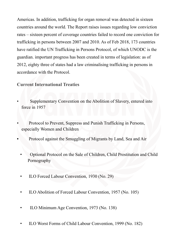Americas. In addition, trafficking for organ removal was detected in sixteen countries around the world. The Report raises issues regarding low conviction rates – sixteen percent of coverage countries failed to record one conviction for trafficking in persons between 2007 and 2010. As of Feb 2018, 173 countries have ratified the UN Trafficking in Persons Protocol, of which UNODC is the guardian. important progress has been created in terms of legislation: as of 2012, eighty three of states had a law criminalising trafficking in persons in accordance with the Protocol.

#### **Current International Treaties**

- Supplementary Convention on the Abolition of Slavery, entered into force in 1957
- Protocol to Prevent, Suppress and Punish Trafficking in Persons, especially Women and Children
- **•** Protocol against the Smuggling of Migrants by Land, Sea and Air
	- Optional Protocol on the Sale of Children, Child Prostitution and Child Pornography
	- ILO Forced Labour Convention, 1930 (No. 29)
	- ILO Abolition of Forced Labour Convention, 1957 (No. 105)
	- ILO Minimum Age Convention, 1973 (No. 138)
	- ILO Worst Forms of Child Labour Convention, 1999 (No. 182)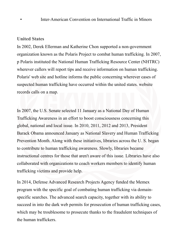#### **United States**

In 2002, Derek Ellerman and Katherine Chon supported a non-government organization known as the Polaris Project to combat human trafficking. In 2007, p Polaris instituted the National Human Trafficking Resource Center (NHTRC) wherever callers will report tips and receive information on human trafficking. Polaris' web site and hotline informs the public concerning wherever cases of suspected human trafficking have occurred within the united states. website records calls on a map.

In 2007, the U.S. Senate selected 11 January as a National Day of Human Trafficking Awareness in an effort to boost consciousness concerning this global, national and local issue. In 2010, 2011, 2012 and 2013, President Barack Obama announced January as National Slavery and Human Trafficking Prevention Month. Along with these initiatives, libraries across the U. S. began to contribute to human trafficking awareness. Slowly, libraries became instructional centres for those that aren't aware of this issue. Libraries have also collaborated with organizations to coach workers members to identify human trafficking victims and provide help.

In 2014, Defense Advanced Research Projects Agency funded the Memex program with the specific goal of combating human trafficking via domainspecific searches. The advanced search capacity, together with its ability to succeed in into the dark web permits for prosecution of human trafficking cases, which may be troublesome to prosecute thanks to the fraudulent techniques of the human traffickers.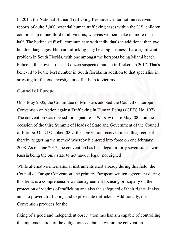In 2015, the National Human Trafficking Resource Center hotline received reports of quite 5,000 potential human trafficking cases within the U.S. children comprise up to one-third of all victims, whereas women make up more than half. The hotline staff will communicate with individuals in additional than two hundred languages. Human trafficking may be a big business. It's a significant problem in South Florida, with one amongst the hotspots being Miami beach. Police in this town arrested 3 dozen suspected human traffickers in 2017. That's believed to be the best number in South florida. In addition to that specialise in arresting traffickers, investigators offer help to victims.

#### **Council of Europe**

On 3 May 2005, the Committee of Ministers adopted the Council of Europe Convention on Action against Trafficking in Human Beings (CETS No. 197). The convention was opened for signature in Warsaw on 16 May 2005 on the occasion of the third Summit of Heads of State and Government of the Council of Europe. On 24 October 2007, the convention received its tenth agreement thereby triggering the method whereby it entered into force on one february 2008. As of June 2017, the convention has been legal in forty seven states, with Russia being the only state to not have it legal (nor signed).

While alternative international instruments exist already during this field, the Council of Europe Convention, the primary European written agreement during this field, is a comprehensive written agreement focusing principally on the protection of victims of trafficking and also the safeguard of their rights. It also aims to prevent trafficking and to prosecute traffickers. Additionally, the Convention provides for the

fixing of a good and independent observation mechanism capable of controlling the implementation of the obligations contained within the convention.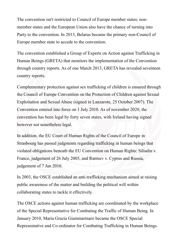The convention isn't restricted to Council of Europe member states; nonmember states and the European Union also have the chance of turning into Party to the convention. In 2013, Belarus became the primary non-Council of Europe member state to accede to the convention.

The convention established a Group of Experts on Action against Trafficking in Human Beings (GRETA) that monitors the implementation of the Convention through country reports. As of one March 2013, GRETA has revealed seventeen country reports.

Complementary protection against sex trafficking of children is ensured through the Council of Europe Convention on the Protection of Children against Sexual Exploitation and Sexual Abuse (signed in Lanzarote, 25 October 2007). The Convention entered into force on 1 July 2010. As of november 2020, the convention has been legal by forty seven states, with Ireland having signed however not nonetheless legal.

In addition, the EU Court of Human Rights of the Council of Europe in Strasbourg has passed judgments regarding trafficking in human beings that violated obligations beneath the EU Convention on Human Rights: Siliadin v. France, judgement of 26 July 2005, and Rantsev v. Cyprus and Russia, judgement of 7 Jan 2010.

In 2003, the OSCE established an anti-trafficking mechanism aimed at raising public awareness of the matter and building the political will within collaborating states to tackle it effectively.

The OSCE actions against human trafficking are coordinated by the workplace of the Special Representative for Combating the Traffic of Human Being. In January 2010, Maria Grazia Giammarinaro became the OSCE Special Representative and Co-ordinator for Combating Trafficking in Human Beings.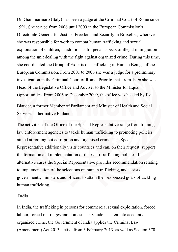Dr. Giammarinaro (Italy) has been a judge at the Criminal Court of Rome since 1991. She served from 2006 until 2009 in the European Commission's Directorate-General for Justice, Freedom and Security in Bruxelles, wherever she was responsible for work to combat human trafficking and sexual exploitation of children, in addition as for penal aspects of illegal immigration among the unit dealing with the fight against organized crime. During this time, she coordinated the Group of Experts on Trafficking in Human Beings of the European Commission. From 2001 to 2006 she was a judge for a preliminary investigation in the Criminal Court of Rome. Prior to that, from 1996 she was Head of the Legislative Office and Adviser to the Minister for Equal Opportunities. From 2006 to December 2009, the office was headed by Eva

Biaudet, a former Member of Parliament and Minister of Health and Social Services in her native Finland.

The activities of the Office of the Special Representative range from training law enforcement agencies to tackle human trafficking to promoting policies aimed at rooting out corruption and organised crime. The Special Representative additionally visits countries and can, on their request, support the formation and implementation of their anti-trafficking policies. In alternative cases the Special Representative provides recommendation relating to implementation of the selections on human trafficking, and assists governments, ministers and officers to attain their expressed goals of tackling human trafficking.

#### **India**

In India, the trafficking in persons for commercial sexual exploitation, forced labour, forced marriages and domestic servitude is taken into account an organized crime. the Government of India applies the Criminal Law (Amendment) Act 2013, active from 3 February 2013, as well as Section 370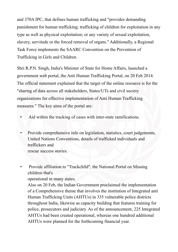and 370A IPC, that defines human trafficking and "provides demanding punishment for human trafficking; trafficking of children for exploitation in any type as well as physical exploitation; or any variety of sexual exploitation, slavery, servitude or the forced removal of organs." Additionally, a Regional Task Force implements the SAARC Convention on the Prevention of Trafficking in Girls and Children.

Shri R.P.N. Singh, India's Minister of State for Home Affairs, launched a government web portal, the Anti Human Trafficking Portal, on 20 Feb 2014. The official statement explained that the target of the online resource is for the "sharing of data across all stakeholders, States/UTs and civil society organizations for effective implementation of Anti Human Trafficking measures." The key aims of the portal are:

- Aid within the tracking of cases with inter-state ramifications.
- Provide comprehensive info on legislation, statistics, court judgements, United Nations Conventions, details of trafficked individuals and traffickers and rescue success stories.

• Provide affiliation to "Trackchild", the National Portal on Missing children that's

operational in many states.

Also on 20 Feb, the Indian Government proclaimed the implementation of a Comprehensive theme that involves the institution of Integrated anti Human Trafficking Units (AHTUs) in 335 vulnerable police districts throughout India, likewise as capacity building that features training for police, prosecutors and judiciary. As of the announcement, 225 Integrated AHTUs had been created operational, whereas one hundred additional AHTUs were planned for the forthcoming financial year.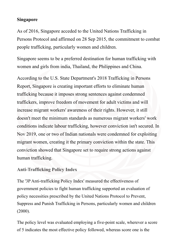#### **Singapore**

As of 2016, Singapore acceded to the United Nations Trafficking in Persons Protocol and affirmed on 28 Sep 2015, the commitment to combat people trafficking, particularly women and children.

Singapore seems to be a preferred destination for human trafficking with women and girls from india, Thailand, the Philippines and China.

According to the U.S. State Department's 2018 Trafficking in Persons Report, Singapore is creating important efforts to eliminate human trafficking because it imposes strong sentences against condemned traffickers, improve freedom of movement for adult victims and will increase migrant workers' awareness of their rights. However, it still doesn't meet the minimum standards as numerous migrant workers' work conditions indicate labour trafficking, however conviction isn't secured. In Nov 2019, one or two of Indian nationals were condemned for exploiting migrant women, creating it the primary conviction within the state. This conviction showed that Singapore set to require strong actions against human trafficking.

#### **Anti-Trafficking Policy Index**

The '3P Anti-trafficking Policy Index' measured the effectiveness of government policies to fight human trafficking supported an evaluation of policy necessities prescribed by the United Nations Protocol to Prevent, Suppress and Punish Trafficking in Persons, particularly women and children (2000).

The policy level was evaluated employing a five-point scale, wherever a score of 5 indicates the most effective policy followed, whereas score one is the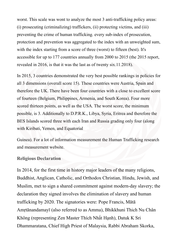worst. This scale was wont to analyze the most 3 anti-trafficking policy areas: (i) prosecuting (criminalizing) traffickers, (ii) protecting victims, and (iii) preventing the crime of human trafficking. every sub-index of prosecution, protection and prevention was aggregated to the index with an unweighted sum, with the index starting from a score of three (worst) to fifteen (best). It's accessible for up to 177 countries annually from 2000 to 2015 (the 2015 report, revealed in 2016, is that it was the last as of twenty six.11.2018).

In 2015, 3 countries demonstrated the very best possible rankings in policies for all 3 dimensions (overall score 15). These countries were Austria, Spain and therefore the UK. There have been four countries with a close to excellent score of fourteen (Belgium, Philippines, Armenia, and South Korea). Four more scored thirteen points, as well as the USA. The worst score, the minimum possible, is 3. Additionally to D.P.R.K., Libya, Syria, Eritrea and therefore the BES Islands scored three with each Iran and Russia grading only four (along with Kiribati, Yemen, and Equatorial

Guinea). For a lot of information measurement the Human Trafficking research and measurement website.

#### **Religious Declaration**

In 2014, for the first time in history major leaders of the many religions, Buddhist, Anglican, Catholic, and Orthodox Christian, Hindu, Jewish, and Muslim, met to sign a shared commitment against modern-day slavery; the declaration they signed involves the elimination of slavery and human trafficking by 2020. The signatories were: Pope Francis, Mātā Amṛtānandamayī (also referred to as Amma), Bhikkhuni Thich Nu Chân Không (representing Zen Master Thích Nhất Hạnh), Datuk K Sri Dhammaratana, Chief High Priest of Malaysia, Rabbi Abraham Skorka,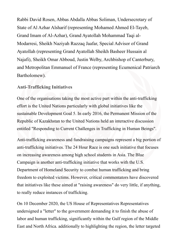Rabbi David Rosen, Abbas Abdalla Abbas Soliman, Undersecretary of State of Al Azhar Alsharif (representing Mohamed Ahmed El-Tayeb, Grand Imam of Al-Azhar), Grand Ayatollah Mohammad Taqi al-Modarresi, Sheikh Naziyah Razzaq Jaafar, Special Advisor of Grand Ayatollah (representing Grand Ayatollah Sheikh Basheer Hussain al Najafi), Sheikh Omar Abboud, Justin Welby, Archbishop of Canterbury, and Metropolitan Emmanuel of France (representing Ecumenical Patriarch Bartholomew).

#### **Anti-Trafficking Initiatives**

One of the organisations taking the most active part within the anti-trafficking effort is the United Nations particularly with global initiatives like the sustainable Development Goal 5. In early 2016, the Permanent Mission of the Republic of Kazakhstan to the United Nations held an interactive discussion entitled "Responding to Current Challenges in Trafficking in Human Beings".

Anti-trafficking awareness and fundraising campaigns represent a big portion of anti-trafficking initiatives. The 24 Hour Race is one such initiative that focuses on increasing awareness among high school students in Asia. The Blue Campaign is another anti-trafficking initiative that works with the U.S. Department of Homeland Security to combat human trafficking and bring freedom to exploited victims. However, critical commentators have discovered that initiatives like these aimed at "raising awareness" do very little, if anything, to really reduce instances of trafficking.

On 10 December 2020, the US House of Representatives Representatives undersigned a "letter" to the government demanding it to finish the abuse of labor and human trafficking, significantly within the Gulf region of the Middle East and North Africa. additionally to highlighting the region, the letter targeted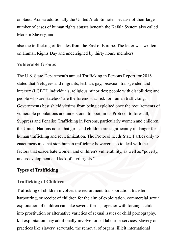on Saudi Arabia additionally the United Arab Emirates because of their large number of cases of human rights abuses beneath the Kafala System also called Modern Slavery, and

also the trafficking of females from the East of Europe. The letter was written on Human Rights Day and undersigned by thirty house members.

#### **Vulnerable Groups**

The U.S. State Department's annual Trafficking in Persons Report for 2016 stated that "refugees and migrants; lesbian, gay, bisexual, transgender, and intersex (LGBTI) individuals; religious minorities; people with disabilities; and people who are stateless" are the foremost at-risk for human trafficking. Governments best shield victims from being exploited once the requirements of vulnerable populations are understood. to boot, in its Protocol to forestall, Suppress and Penalise Trafficking in Persons, particularly women and children, the United Nations notes that girls and children are significantly in danger for human trafficking and revictimization. The Protocol needs State Parties only to enact measures that stop human trafficking however also to deal with the factors that exacerbate women and children's vulnerability, as well as "poverty, underdevelopment and lack of civil rights."

#### **Types of Trafficking**

#### **Trafficking of Children**

Trafficking of children involves the recruitment, transportation, transfer, harbouring, or receipt of children for the aim of exploitation. commercial sexual exploitation of children can take several forms, together with forcing a child into prostitution or alternative varieties of sexual issues or child pornography. kid exploitation may additionally involve forced labour or services, slavery or practices like slavery, servitude, the removal of organs, illicit international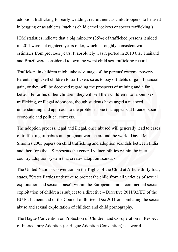adoption, trafficking for early wedding, recruitment as child troopers, to be used in begging or as athletes (such as child camel jockeys or soccer trafficking.)

IOM statistics indicate that a big minority (35%) of trafficked persons it aided in 2011 were but eighteen years older, which is roughly consistent with estimates from previous years. It absolutely was reported in 2010 that Thailand and Brazil were considered to own the worst child sex trafficking records.

Traffickers in children might take advantage of the parents' extreme poverty. Parents might sell children to traffickers so as to pay off debts or gain financial gain, or they will be deceived regarding the prospects of training and a far better life for his or her children. they will sell their children into labour, sex trafficking, or illegal adoptions, though students have urged a nuanced understanding and approach to the problem - one that appears at broader socioeconomic and political contexts.

The adoption process, legal and illegal, once abused will generally lead to cases of trafficking of babies and pregnant women around the world. David M. Smolin's 2005 papers on child trafficking and adoption scandals between India and therefore the US, presents the general vulnerabilities within the intercountry adoption system that creates adoption scandals.

The United Nations Convention on the Rights of the Child at Article thirty four, states, "States Parties undertake to protect the child from all varieties of sexual exploitation and sexual abuse". within the European Union, commercial sexual exploitation of children is subject to a directive – Directive 2011/92/EU of the EU Parliament and of the Council of thirteen Dec 2011 on combating the sexual abuse and sexual exploitation of children and child pornography.

The Hague Convention on Protection of Children and Co-operation in Respect of Intercountry Adoption (or Hague Adoption Convention) is a world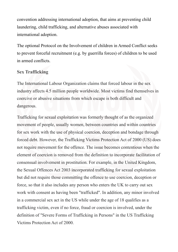convention addressing international adoption, that aims at preventing child laundering, child trafficking, and alternative abuses associated with international adoption.

The optional Protocol on the Involvement of children in Armed Conflict seeks to prevent forceful recruitment (e.g. by guerrilla forces) of children to be used in armed conflicts.

#### **Sex Trafficking**

The International Labour Organization claims that forced labour in the sex industry affects 4.5 million people worldwide. Most victims find themselves in coercive or abusive situations from which escape is both difficult and dangerous.

Trafficking for sexual exploitation was formerly thought of as the organized movement of people, usually women, between countries and within countries for sex work with the use of physical coercion, deception and bondage through forced debt. However, the Trafficking Victims Protection Act of 2000 (US) does not require movement for the offence. The issue becomes contentious when the element of coercion is removed from the definition to incorporate facilitation of consensual involvement in prostitution. For example, in the United Kingdom, the Sexual Offences Act 2003 incorporated trafficking for sexual exploitation but did not require those committing the offence to use coercion, deception or force, so that it also includes any person who enters the UK to carry out sex work with consent as having been "trafficked". In addition, any minor involved in a commercial sex act in the US while under the age of 18 qualifies as a trafficking victim, even if no force, fraud or coercion is involved, under the definition of "Severe Forms of Trafficking in Persons" in the US Trafficking Victims Protection Act of 2000.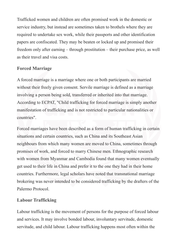Trafficked women and children are often promised work in the domestic or service industry, but instead are sometimes taken to brothels where they are required to undertake sex work, while their passports and other identification papers are confiscated. They may be beaten or locked up and promised their freedom only after earning – through prostitution – their purchase price, as well as their travel and visa costs.

#### **Forced Marriage**

A forced marriage is a marriage where one or both participants are married without their freely given consent. Servile marriage is defined as a marriage involving a person being sold, transferred or inherited into that marriage. According to ECPAT, "Child trafficking for forced marriage is simply another manifestation of trafficking and is not restricted to particular nationalities or countries".

Forced marriages have been described as a form of human trafficking in certain situations and certain countries, such as China and its Southeast Asian neighbours from which many women are moved to China, sometimes through promises of work, and forced to marry Chinese men. Ethnographic research with women from Myanmar and Cambodia found that many women eventually get used to their life in China and prefer it to the one they had in their home countries. Furthermore, legal scholars have noted that transnational marriage brokering was never intended to be considered trafficking by the drafters of the Palermo Protocol.

### **Labour Trafficking**

Labour trafficking is the movement of persons for the purpose of forced labour and services. It may involve bonded labour, involuntary servitude, domestic servitude, and child labour. Labour trafficking happens most often within the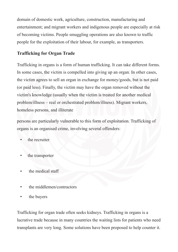domain of domestic work, agriculture, construction, manufacturing and entertainment; and migrant workers and indigenous people are especially at risk of becoming victims. People smuggling operations are also known to traffic people for the exploitation of their labour, for example, as transporters.

# **Trafficking for Organ Trade**

Trafficking in organs is a form of human trafficking. It can take different forms. In some cases, the victim is compelled into giving up an organ. In other cases, the victim agrees to sell an organ in exchange for money/goods, but is not paid (or paid less). Finally, the victim may have the organ removed without the victim's knowledge (usually when the victim is treated for another medical problem/illness – real or orchestrated problem/illness). Migrant workers, homeless persons, and illiterate

persons are particularly vulnerable to this form of exploitation. Trafficking of organs is an organised crime, involving several offenders:

- the recruiter
- the transporter
- the medical staff
- the middlemen/contractors
- the buyers

Trafficking for organ trade often seeks kidneys. Trafficking in organs is a lucrative trade because in many countries the waiting lists for patients who need transplants are very long. Some solutions have been proposed to help counter it.